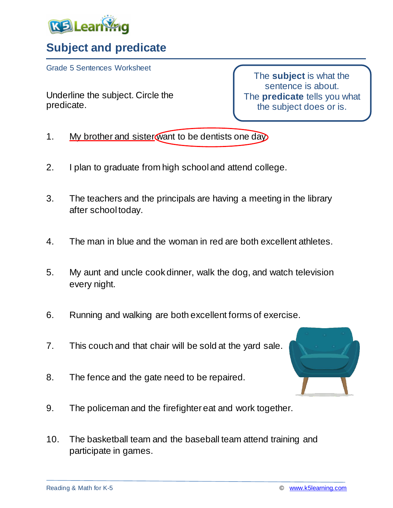

## **Subject and predicate**

Grade 5 Sentences Worksheet

Underline the subject. Circle the predicate.

The **subject** is what the sentence is about. The **predicate** tells you what the subject does or is.

- 1. My brother and sister want to be dentists one day.
- 2. I plan to graduate from high school and attend college.
- 3. The teachers and the principals are having a meeting in the library after school today.
- 4. The man in blue and the woman in red are both excellent athletes.
- 5. My aunt and uncle cook dinner, walk the dog, and watch television every night.
- 6. Running and walking are both excellent forms of exercise.
- 7. This couch and that chair will be sold at the yard sale.
- 8. The fence and the gate need to be repaired.
- 9. The policeman and the firefighter eat and work together.
- 10. The basketball team and the baseball team attend training and participate in games.